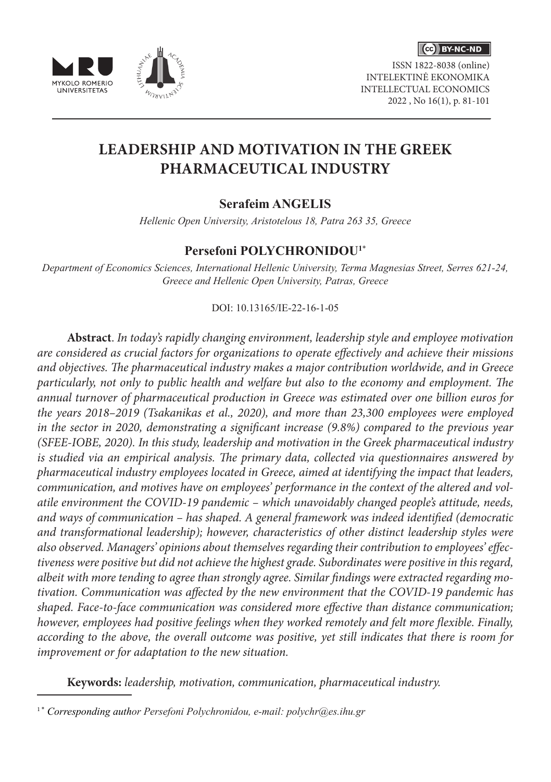





ISSN 1822-8038 (online) INTELEKTINĖ EKONOMIKA INTELLECTUAL ECONOMICS 2022 , No 16(1), p. 81-101

# **LEADERSHIP AND MOTIVATION IN THE GREEK PHARMACEUTICAL INDUSTRY**

# **Serafeim ANGELIS**

*Hellenic Open University, Aristotelous 18, Patra 263 35, Greece*

### **Persefoni POLYCHRONIDOU1**\*

*Department of Economics Sciences, International Hellenic University, Terma Magnesias Street, Serres 621-24, Greece and Hellenic Open University, Patras, Greece*

### DOI: 10.13165/IE-22-16-1-05

**Abstract**. *In today's rapidly changing environment, leadership style and employee motivation are considered as crucial factors for organizations to operate effectively and achieve their missions and objectives. The pharmaceutical industry makes a major contribution worldwide, and in Greece particularly, not only to public health and welfare but also to the economy and employment. The annual turnover of pharmaceutical production in Greece was estimated over one billion euros for the years 2018–2019 (Tsakanikas et al., 2020), and more than 23,300 employees were employed in the sector in 2020, demonstrating a significant increase (9.8%) compared to the previous year (SFEE-IOBE, 2020). In this study, leadership and motivation in the Greek pharmaceutical industry is studied via an empirical analysis. The primary data, collected via questionnaires answered by pharmaceutical industry employees located in Greece, aimed at identifying the impact that leaders, communication, and motives have on employees' performance in the context of the altered and volatile environment the COVID-19 pandemic – which unavoidably changed people's attitude, needs, and ways of communication – has shaped. A general framework was indeed identified (democratic and transformational leadership); however, characteristics of other distinct leadership styles were also observed. Managers' opinions about themselves regarding their contribution to employees' effectiveness were positive but did not achieve the highest grade. Subordinates were positive in this regard, albeit with more tending to agree than strongly agree. Similar findings were extracted regarding motivation. Communication was affected by the new environment that the COVID-19 pandemic has shaped. Face-to-face communication was considered more effective than distance communication; however, employees had positive feelings when they worked remotely and felt more flexible. Finally, according to the above, the overall outcome was positive, yet still indicates that there is room for improvement or for adaptation to the new situation.*

**Keywords:** *leadership, motivation, communication, pharmaceutical industry.*

<sup>1</sup>\* *Corresponding author Persefoni Polychronidou, e-mail: polychr@es.ihu.gr*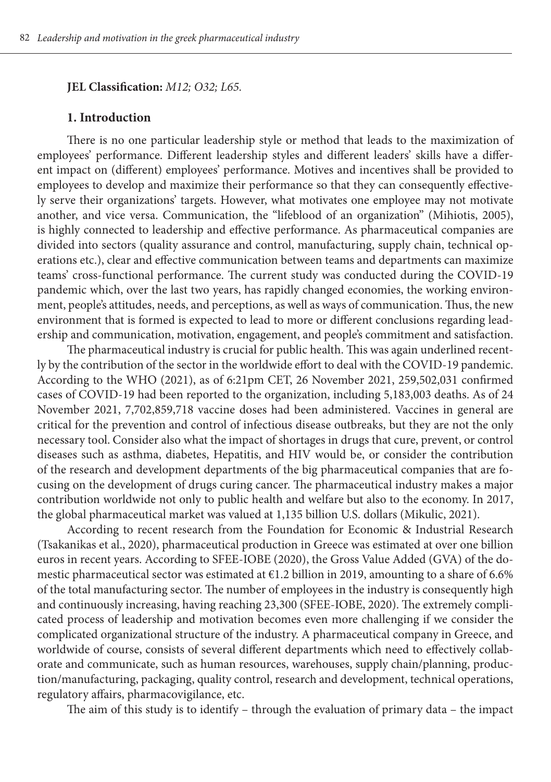**JEL Classification:** *M12; O32; L65.*

#### **1. Introduction**

There is no one particular leadership style or method that leads to the maximization of employees' performance. Different leadership styles and different leaders' skills have a different impact on (different) employees' performance. Motives and incentives shall be provided to employees to develop and maximize their performance so that they can consequently effectively serve their organizations' targets. However, what motivates one employee may not motivate another, and vice versa. Communication, the "lifeblood of an organization" (Mihiotis, 2005), is highly connected to leadership and effective performance. As pharmaceutical companies are divided into sectors (quality assurance and control, manufacturing, supply chain, technical operations etc.), clear and effective communication between teams and departments can maximize teams' cross-functional performance. The current study was conducted during the COVID-19 pandemic which, over the last two years, has rapidly changed economies, the working environment, people's attitudes, needs, and perceptions, as well as ways of communication. Thus, the new environment that is formed is expected to lead to more or different conclusions regarding leadership and communication, motivation, engagement, and people's commitment and satisfaction.

The pharmaceutical industry is crucial for public health. This was again underlined recently by the contribution of the sector in the worldwide effort to deal with the COVID-19 pandemic. According to the WHO (2021), as of 6:21pm CET, 26 November 2021, 259,502,031 confirmed cases of COVID-19 had been reported to the organization, including 5,183,003 deaths. As of 24 November 2021, 7,702,859,718 vaccine doses had been administered. Vaccines in general are critical for the prevention and control of infectious disease outbreaks, but they are not the only necessary tool. Consider also what the impact of shortages in drugs that cure, prevent, or control diseases such as asthma, diabetes, Hepatitis, and HIV would be, or consider the contribution of the research and development departments of the big pharmaceutical companies that are focusing on the development of drugs curing cancer. The pharmaceutical industry makes a major contribution worldwide not only to public health and welfare but also to the economy. In 2017, the global pharmaceutical market was valued at 1,135 billion U.S. dollars (Mikulic, 2021).

According to recent research from the Foundation for Economic & Industrial Research (Tsakanikas et al., 2020), pharmaceutical production in Greece was estimated at over one billion euros in recent years. According to SFEE-IOBE (2020), the Gross Value Added (GVA) of the domestic pharmaceutical sector was estimated at  $\epsilon$ 1.2 billion in 2019, amounting to a share of 6.6% of the total manufacturing sector. The number of employees in the industry is consequently high and continuously increasing, having reaching 23,300 (SFEE-IOBE, 2020). The extremely complicated process of leadership and motivation becomes even more challenging if we consider the complicated organizational structure of the industry. A pharmaceutical company in Greece, and worldwide of course, consists of several different departments which need to effectively collaborate and communicate, such as human resources, warehouses, supply chain/planning, production/manufacturing, packaging, quality control, research and development, technical operations, regulatory affairs, pharmacovigilance, etc.

The aim of this study is to identify – through the evaluation of primary data – the impact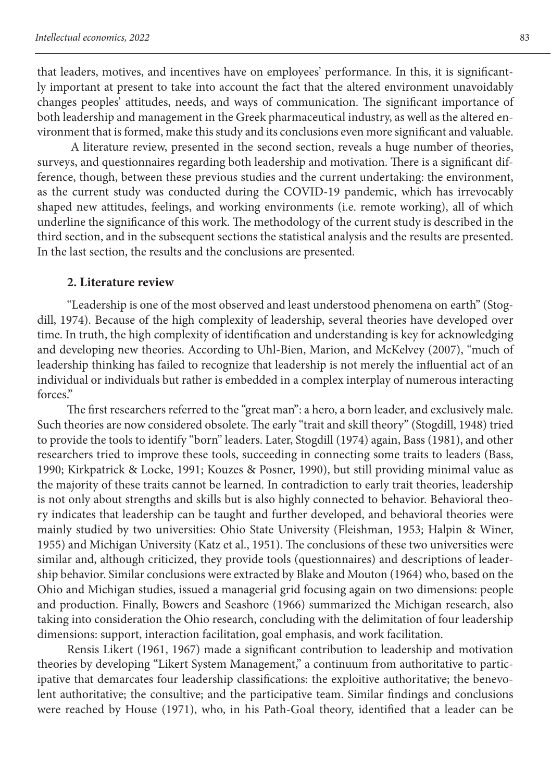that leaders, motives, and incentives have on employees' performance. In this, it is significantly important at present to take into account the fact that the altered environment unavoidably changes peoples' attitudes, needs, and ways of communication. The significant importance of both leadership and management in the Greek pharmaceutical industry, as well as the altered environment that is formed, make this study and its conclusions even more significant and valuable.

 A literature review, presented in the second section, reveals a huge number of theories, surveys, and questionnaires regarding both leadership and motivation. There is a significant difference, though, between these previous studies and the current undertaking: the environment, as the current study was conducted during the COVID-19 pandemic, which has irrevocably shaped new attitudes, feelings, and working environments (i.e. remote working), all of which underline the significance of this work. The methodology of the current study is described in the third section, and in the subsequent sections the statistical analysis and the results are presented. In the last section, the results and the conclusions are presented.

#### **2. Literature review**

"Leadership is one of the most observed and least understood phenomena on earth" (Stogdill, 1974). Because of the high complexity of leadership, several theories have developed over time. In truth, the high complexity of identification and understanding is key for acknowledging and developing new theories. According to Uhl-Bien, Marion, and McKelvey (2007), "much of leadership thinking has failed to recognize that leadership is not merely the influential act of an individual or individuals but rather is embedded in a complex interplay of numerous interacting forces"

The first researchers referred to the "great man": a hero, a born leader, and exclusively male. Such theories are now considered obsolete. The early "trait and skill theory" (Stogdill, 1948) tried to provide the tools to identify "born" leaders. Later, Stogdill (1974) again, Bass (1981), and other researchers tried to improve these tools, succeeding in connecting some traits to leaders (Bass, 1990; Kirkpatrick & Locke, 1991; Kouzes & Posner, 1990), but still providing minimal value as the majority of these traits cannot be learned. In contradiction to early trait theories, leadership is not only about strengths and skills but is also highly connected to behavior. Behavioral theory indicates that leadership can be taught and further developed, and behavioral theories were mainly studied by two universities: Ohio State University (Fleishman, 1953; Halpin & Winer, 1955) and Michigan University (Katz et al., 1951). The conclusions of these two universities were similar and, although criticized, they provide tools (questionnaires) and descriptions of leadership behavior. Similar conclusions were extracted by Blake and Mouton (1964) who, based on the Ohio and Michigan studies, issued a managerial grid focusing again on two dimensions: people and production. Finally, Bowers and Seashore (1966) summarized the Michigan research, also taking into consideration the Ohio research, concluding with the delimitation of four leadership dimensions: support, interaction facilitation, goal emphasis, and work facilitation.

Rensis Likert (1961, 1967) made a significant contribution to leadership and motivation theories by developing "Likert System Management," a continuum from authoritative to participative that demarcates four leadership classifications: the exploitive authoritative; the benevolent authoritative; the consultive; and the participative team. Similar findings and conclusions were reached by House (1971), who, in his Path-Goal theory, identified that a leader can be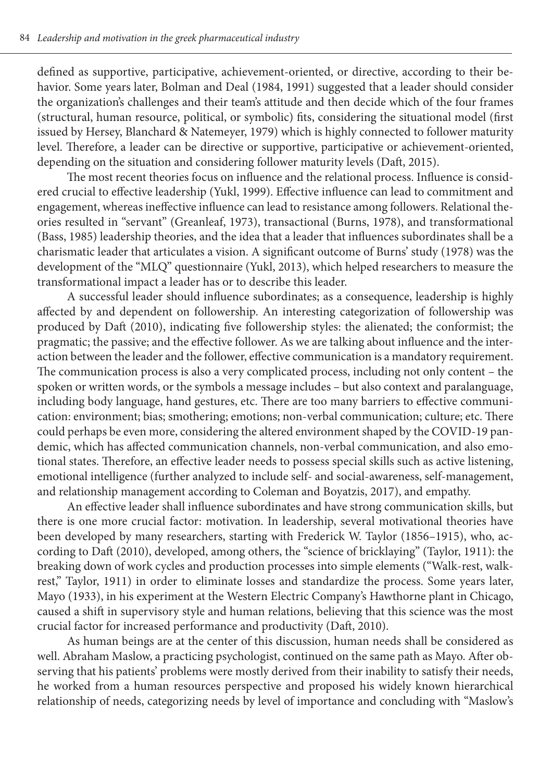defined as supportive, participative, achievement-oriented, or directive, according to their behavior. Some years later, Bolman and Deal (1984, 1991) suggested that a leader should consider the organization's challenges and their team's attitude and then decide which of the four frames (structural, human resource, political, or symbolic) fits, considering the situational model (first issued by Hersey, Blanchard & Natemeyer, 1979) which is highly connected to follower maturity level. Therefore, a leader can be directive or supportive, participative or achievement-oriented, depending on the situation and considering follower maturity levels (Daft, 2015).

The most recent theories focus on influence and the relational process. Influence is considered crucial to effective leadership (Yukl, 1999). Effective influence can lead to commitment and engagement, whereas ineffective influence can lead to resistance among followers. Relational theories resulted in "servant" (Greanleaf, 1973), transactional (Burns, 1978), and transformational (Bass, 1985) leadership theories, and the idea that a leader that influences subordinates shall be a charismatic leader that articulates a vision. A significant outcome of Burns' study (1978) was the development of the "MLQ" questionnaire (Yukl, 2013), which helped researchers to measure the transformational impact a leader has or to describe this leader.

A successful leader should influence subordinates; as a consequence, leadership is highly affected by and dependent on followership. An interesting categorization of followership was produced by Daft (2010), indicating five followership styles: the alienated; the conformist; the pragmatic; the passive; and the effective follower. As we are talking about influence and the interaction between the leader and the follower, effective communication is a mandatory requirement. The communication process is also a very complicated process, including not only content – the spoken or written words, or the symbols a message includes – but also context and paralanguage, including body language, hand gestures, etc. There are too many barriers to effective communication: environment; bias; smothering; emotions; non-verbal communication; culture; etc. There could perhaps be even more, considering the altered environment shaped by the COVID-19 pandemic, which has affected communication channels, non-verbal communication, and also emotional states. Therefore, an effective leader needs to possess special skills such as active listening, emotional intelligence (further analyzed to include self- and social-awareness, self-management, and relationship management according to Coleman and Boyatzis, 2017), and empathy.

An effective leader shall influence subordinates and have strong communication skills, but there is one more crucial factor: motivation. In leadership, several motivational theories have been developed by many researchers, starting with Frederick W. Taylor (1856–1915), who, according to Daft (2010), developed, among others, the "science of bricklaying" (Taylor, 1911): the breaking down of work cycles and production processes into simple elements ("Walk-rest, walkrest," Taylor, 1911) in order to eliminate losses and standardize the process. Some years later, Mayo (1933), in his experiment at the Western Electric Company's Hawthorne plant in Chicago, caused a shift in supervisory style and human relations, believing that this science was the most crucial factor for increased performance and productivity (Daft, 2010).

As human beings are at the center of this discussion, human needs shall be considered as well. Abraham Maslow, a practicing psychologist, continued on the same path as Mayo. After observing that his patients' problems were mostly derived from their inability to satisfy their needs, he worked from a human resources perspective and proposed his widely known hierarchical relationship of needs, categorizing needs by level of importance and concluding with "Maslow's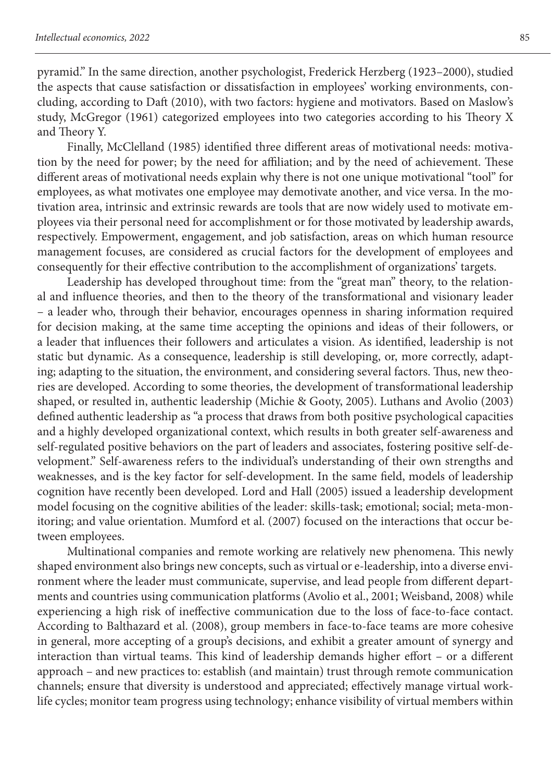pyramid." In the same direction, another psychologist, Frederick Herzberg (1923–2000), studied the aspects that cause satisfaction or dissatisfaction in employees' working environments, concluding, according to Daft (2010), with two factors: hygiene and motivators. Based on Maslow's study, McGregor (1961) categorized employees into two categories according to his Theory X and Theory Y.

Finally, McClelland (1985) identified three different areas of motivational needs: motivation by the need for power; by the need for affiliation; and by the need of achievement. These different areas of motivational needs explain why there is not one unique motivational "tool" for employees, as what motivates one employee may demotivate another, and vice versa. In the motivation area, intrinsic and extrinsic rewards are tools that are now widely used to motivate employees via their personal need for accomplishment or for those motivated by leadership awards, respectively. Empowerment, engagement, and job satisfaction, areas on which human resource management focuses, are considered as crucial factors for the development of employees and consequently for their effective contribution to the accomplishment of organizations' targets.

Leadership has developed throughout time: from the "great man" theory, to the relational and influence theories, and then to the theory of the transformational and visionary leader – a leader who, through their behavior, encourages openness in sharing information required for decision making, at the same time accepting the opinions and ideas of their followers, or a leader that influences their followers and articulates a vision. As identified, leadership is not static but dynamic. As a consequence, leadership is still developing, or, more correctly, adapting; adapting to the situation, the environment, and considering several factors. Thus, new theories are developed. According to some theories, the development of transformational leadership shaped, or resulted in, authentic leadership (Michie & Gooty, 2005). Luthans and Avolio (2003) defined authentic leadership as "a process that draws from both positive psychological capacities and a highly developed organizational context, which results in both greater self-awareness and self-regulated positive behaviors on the part of leaders and associates, fostering positive self-development." Self-awareness refers to the individual's understanding of their own strengths and weaknesses, and is the key factor for self-development. In the same field, models of leadership cognition have recently been developed. Lord and Hall (2005) issued a leadership development model focusing on the cognitive abilities of the leader: skills-task; emotional; social; meta-monitoring; and value orientation. Mumford et al. (2007) focused on the interactions that occur between employees.

Multinational companies and remote working are relatively new phenomena. This newly shaped environment also brings new concepts, such as virtual or e-leadership, into a diverse environment where the leader must communicate, supervise, and lead people from different departments and countries using communication platforms (Avolio et al., 2001; Weisband, 2008) while experiencing a high risk of ineffective communication due to the loss of face-to-face contact. According to Balthazard et al. (2008), group members in face-to-face teams are more cohesive in general, more accepting of a group's decisions, and exhibit a greater amount of synergy and interaction than virtual teams. This kind of leadership demands higher effort – or a different approach – and new practices to: establish (and maintain) trust through remote communication channels; ensure that diversity is understood and appreciated; effectively manage virtual worklife cycles; monitor team progress using technology; enhance visibility of virtual members within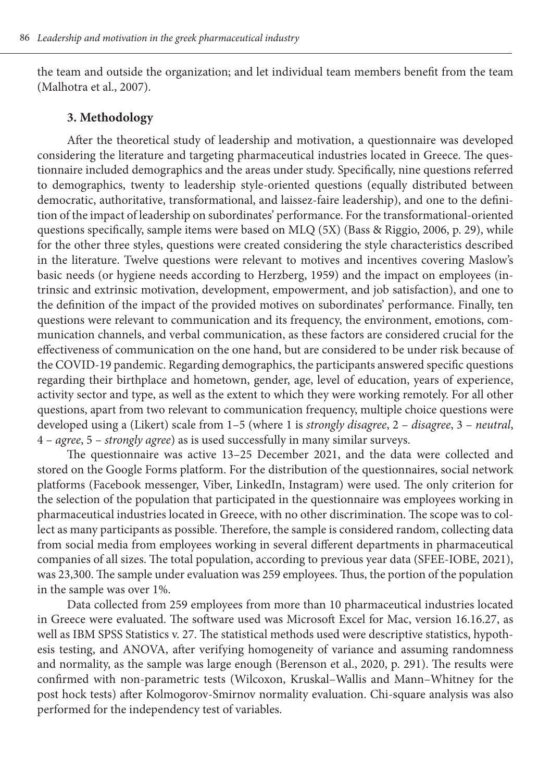the team and outside the organization; and let individual team members benefit from the team (Malhotra et al., 2007).

#### **3. Methodology**

After the theoretical study of leadership and motivation, a questionnaire was developed considering the literature and targeting pharmaceutical industries located in Greece. The questionnaire included demographics and the areas under study. Specifically, nine questions referred to demographics, twenty to leadership style-oriented questions (equally distributed between democratic, authoritative, transformational, and laissez-faire leadership), and one to the definition of the impact of leadership on subordinates' performance. For the transformational-oriented questions specifically, sample items were based on MLQ (5X) (Bass & Riggio, 2006, p. 29), while for the other three styles, questions were created considering the style characteristics described in the literature. Twelve questions were relevant to motives and incentives covering Maslow's basic needs (or hygiene needs according to Herzberg, 1959) and the impact on employees (intrinsic and extrinsic motivation, development, empowerment, and job satisfaction), and one to the definition of the impact of the provided motives on subordinates' performance. Finally, ten questions were relevant to communication and its frequency, the environment, emotions, communication channels, and verbal communication, as these factors are considered crucial for the effectiveness of communication on the one hand, but are considered to be under risk because of the COVID-19 pandemic. Regarding demographics, the participants answered specific questions regarding their birthplace and hometown, gender, age, level of education, years of experience, activity sector and type, as well as the extent to which they were working remotely. For all other questions, apart from two relevant to communication frequency, multiple choice questions were developed using a (Likert) scale from 1–5 (where 1 is *strongly disagree*, 2 – *disagree*, 3 – *neutral*, 4 – *agree*, 5 – *strongly agree*) as is used successfully in many similar surveys.

The questionnaire was active 13–25 December 2021, and the data were collected and stored on the Google Forms platform. For the distribution of the questionnaires, social network platforms (Facebook messenger, Viber, LinkedIn, Instagram) were used. The only criterion for the selection of the population that participated in the questionnaire was employees working in pharmaceutical industries located in Greece, with no other discrimination. The scope was to collect as many participants as possible. Therefore, the sample is considered random, collecting data from social media from employees working in several different departments in pharmaceutical companies of all sizes. The total population, according to previous year data (SFEE-IOBE, 2021), was 23,300. The sample under evaluation was 259 employees. Thus, the portion of the population in the sample was over 1%.

Data collected from 259 employees from more than 10 pharmaceutical industries located in Greece were evaluated. The software used was Microsoft Excel for Mac, version 16.16.27, as well as IBM SPSS Statistics v. 27. The statistical methods used were descriptive statistics, hypothesis testing, and ANOVA, after verifying homogeneity of variance and assuming randomness and normality, as the sample was large enough (Berenson et al., 2020, p. 291). The results were confirmed with non-parametric tests (Wilcoxon, Kruskal–Wallis and Mann–Whitney for the post hock tests) after Kolmogorov-Smirnov normality evaluation. Chi-square analysis was also performed for the independency test of variables.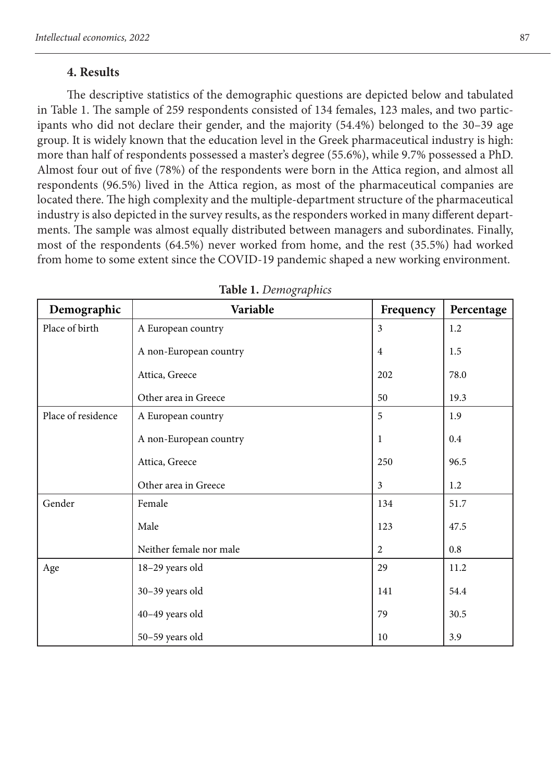#### **4. Results**

The descriptive statistics of the demographic questions are depicted below and tabulated in Table 1. The sample of 259 respondents consisted of 134 females, 123 males, and two participants who did not declare their gender, and the majority (54.4%) belonged to the 30–39 age group. It is widely known that the education level in the Greek pharmaceutical industry is high: more than half of respondents possessed a master's degree (55.6%), while 9.7% possessed a PhD. Almost four out of five (78%) of the respondents were born in the Attica region, and almost all respondents (96.5%) lived in the Attica region, as most of the pharmaceutical companies are located there. The high complexity and the multiple-department structure of the pharmaceutical industry is also depicted in the survey results, as the responders worked in many different departments. The sample was almost equally distributed between managers and subordinates. Finally, most of the respondents (64.5%) never worked from home, and the rest (35.5%) had worked from home to some extent since the COVID-19 pandemic shaped a new working environment.

| Demographic        | Variable                | Frequency      | Percentage |
|--------------------|-------------------------|----------------|------------|
| Place of birth     | A European country      | 3              | 1.2        |
|                    | A non-European country  | $\overline{4}$ | 1.5        |
|                    | Attica, Greece          | 202            | 78.0       |
|                    | Other area in Greece    | 50             | 19.3       |
| Place of residence | A European country      | 5              | 1.9        |
|                    | A non-European country  | 1              | 0.4        |
|                    | Attica, Greece          | 250            | 96.5       |
|                    | Other area in Greece    | 3              | 1.2        |
| Gender             | Female                  | 134            | 51.7       |
|                    | Male                    | 123            | 47.5       |
|                    | Neither female nor male | 2              | 0.8        |
| Age                | 18-29 years old         | 29             | 11.2       |
|                    | 30-39 years old         | 141            | 54.4       |
|                    | 40-49 years old         | 79             | 30.5       |
|                    | 50-59 years old         | 10             | 3.9        |

**Table 1.** *Demographics*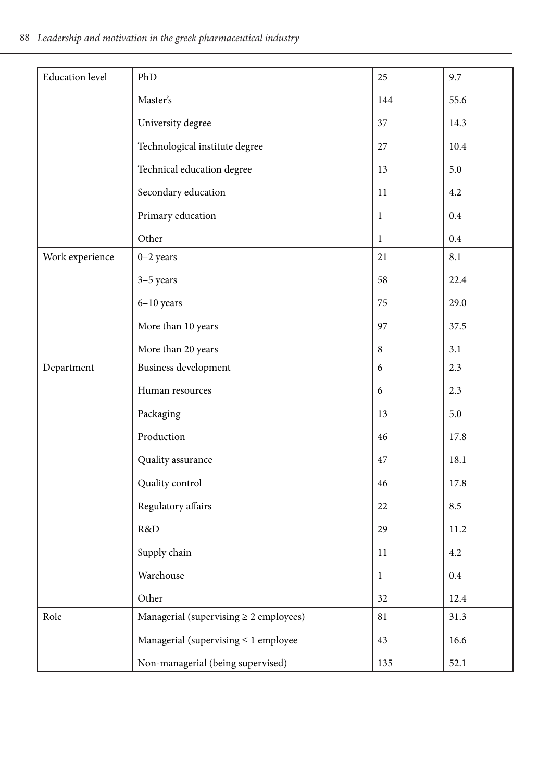| <b>Education</b> level | PhD                                         | 25           | 9.7  |
|------------------------|---------------------------------------------|--------------|------|
|                        | Master's                                    | 144          | 55.6 |
|                        | University degree                           | 37           | 14.3 |
|                        | Technological institute degree              | 27           | 10.4 |
|                        | Technical education degree                  | 13           | 5.0  |
|                        | Secondary education                         | 11           | 4.2  |
|                        | Primary education                           | $\mathbf{1}$ | 0.4  |
|                        | Other                                       | $\mathbf{1}$ | 0.4  |
| Work experience        | $0-2$ years                                 | 21           | 8.1  |
|                        | 3-5 years                                   | 58           | 22.4 |
|                        | $6-10$ years                                | 75           | 29.0 |
|                        | More than 10 years                          | 97           | 37.5 |
|                        | More than 20 years                          | 8            | 3.1  |
| Department             | Business development                        | 6            | 2.3  |
|                        | Human resources                             | 6            | 2.3  |
|                        | Packaging                                   | 13           | 5.0  |
|                        | Production                                  | 46           | 17.8 |
|                        | Quality assurance                           | 47           | 18.1 |
|                        | Quality control                             | 46           | 17.8 |
|                        | Regulatory affairs                          | 22           | 8.5  |
|                        | R&D                                         | 29           | 11.2 |
|                        | Supply chain                                | 11           | 4.2  |
|                        | Warehouse                                   | $\mathbf{1}$ | 0.4  |
|                        | Other                                       | 32           | 12.4 |
| Role                   | Managerial (supervising $\geq 2$ employees) | 81           | 31.3 |
|                        | Managerial (supervising $\leq 1$ employee   | 43           | 16.6 |
|                        | Non-managerial (being supervised)           | 135          | 52.1 |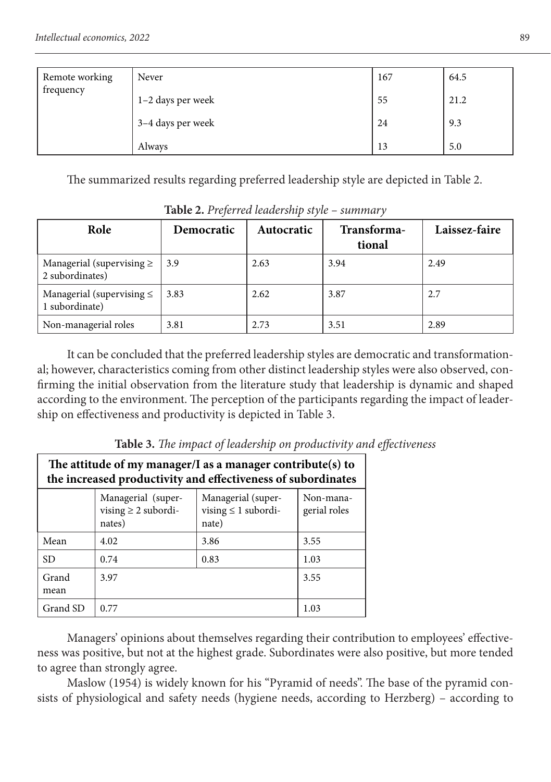| Remote working | Never             | 167 | 64.5 |
|----------------|-------------------|-----|------|
| frequency      | 1-2 days per week | 55  | 21.2 |
|                | 3–4 days per week | 24  | 9.3  |
|                | Always            | 13  | 5.0  |

The summarized results regarding preferred leadership style are depicted in Table 2.

| Role                                              | Democratic | Autocratic | Transforma-<br>tional | Laissez-faire |  |  |
|---------------------------------------------------|------------|------------|-----------------------|---------------|--|--|
| Managerial (supervising $\geq$<br>2 subordinates) | 3.9        | 2.63       | 3.94                  | 2.49          |  |  |
| Managerial (supervising $\leq$<br>1 subordinate)  | 3.83       | 2.62       | 3.87                  | 2.7           |  |  |
| Non-managerial roles                              | 3.81       | 2.73       | 3.51                  | 2.89          |  |  |

**Table 2.** *Preferred leadership style – summary*

It can be concluded that the preferred leadership styles are democratic and transformational; however, characteristics coming from other distinct leadership styles were also observed, confirming the initial observation from the literature study that leadership is dynamic and shaped according to the environment. The perception of the participants regarding the impact of leadership on effectiveness and productivity is depicted in Table 3.

| The attitude of my manager/I as a manager contribute(s) to<br>the increased productivity and effectiveness of subordinates |                                                          |                                                         |                           |  |
|----------------------------------------------------------------------------------------------------------------------------|----------------------------------------------------------|---------------------------------------------------------|---------------------------|--|
|                                                                                                                            | Managerial (super-<br>vising $\geq 2$ subordi-<br>nates) | Managerial (super-<br>vising $\leq 1$ subordi-<br>nate) | Non-mana-<br>gerial roles |  |
| Mean                                                                                                                       | 4.02                                                     | 3.86                                                    | 3.55                      |  |
| <b>SD</b>                                                                                                                  | 0.74                                                     | 0.83                                                    | 1.03                      |  |
| Grand<br>mean                                                                                                              | 3.97                                                     |                                                         | 3.55                      |  |
| Grand SD                                                                                                                   | 0.77                                                     |                                                         | 1.03                      |  |

**Table 3.** *The impact of leadership on productivity and effectiveness*

Managers' opinions about themselves regarding their contribution to employees' effectiveness was positive, but not at the highest grade. Subordinates were also positive, but more tended to agree than strongly agree.

Maslow (1954) is widely known for his "Pyramid of needs". The base of the pyramid consists of physiological and safety needs (hygiene needs, according to Herzberg) – according to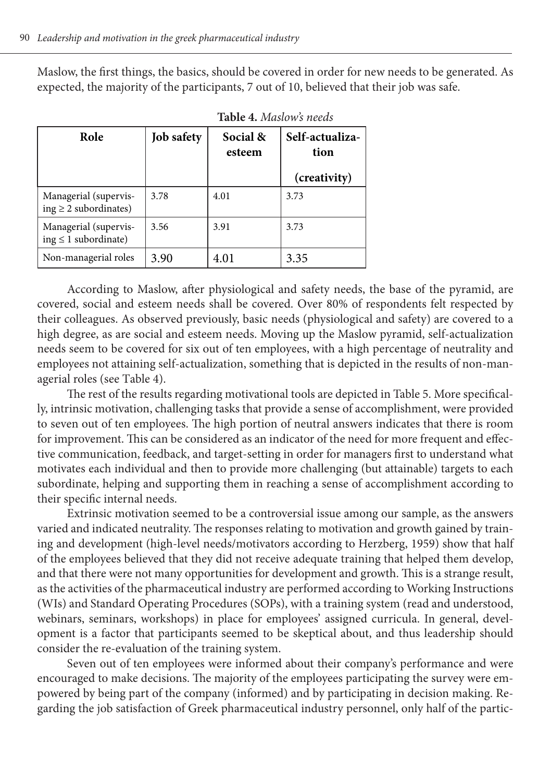Maslow, the first things, the basics, should be covered in order for new needs to be generated. As expected, the majority of the participants, 7 out of 10, believed that their job was safe.

| Role                                                | <b>Job safety</b> | Social &<br>esteem | Self-actualiza-<br>tion |
|-----------------------------------------------------|-------------------|--------------------|-------------------------|
|                                                     |                   |                    | (creativity)            |
| Managerial (supervis-<br>ing $\geq$ 2 subordinates) | 3.78              | 4.01               | 3.73                    |
| Managerial (supervis-<br>$ing \leq 1$ subordinate)  | 3.56              | 3.91               | 3.73                    |
| Non-managerial roles                                | 3.90              | 4.01               | 3.35                    |

| <b>Table 4.</b> Maslow's needs |
|--------------------------------|
|                                |

According to Maslow, after physiological and safety needs, the base of the pyramid, are covered, social and esteem needs shall be covered. Over 80% of respondents felt respected by their colleagues. As observed previously, basic needs (physiological and safety) are covered to a high degree, as are social and esteem needs. Moving up the Maslow pyramid, self-actualization needs seem to be covered for six out of ten employees, with a high percentage of neutrality and employees not attaining self-actualization, something that is depicted in the results of non-managerial roles (see Τable 4).

The rest of the results regarding motivational tools are depicted in Table 5. More specifically, intrinsic motivation, challenging tasks that provide a sense of accomplishment, were provided to seven out of ten employees. The high portion of neutral answers indicates that there is room for improvement. This can be considered as an indicator of the need for more frequent and effective communication, feedback, and target-setting in order for managers first to understand what motivates each individual and then to provide more challenging (but attainable) targets to each subordinate, helping and supporting them in reaching a sense of accomplishment according to their specific internal needs.

Extrinsic motivation seemed to be a controversial issue among our sample, as the answers varied and indicated neutrality. The responses relating to motivation and growth gained by training and development (high-level needs/motivators according to Herzberg, 1959) show that half of the employees believed that they did not receive adequate training that helped them develop, and that there were not many opportunities for development and growth. This is a strange result, as the activities of the pharmaceutical industry are performed according to Working Instructions (WIs) and Standard Operating Procedures (SOPs), with a training system (read and understood, webinars, seminars, workshops) in place for employees' assigned curricula. In general, development is a factor that participants seemed to be skeptical about, and thus leadership should consider the re-evaluation of the training system.

Seven out of ten employees were informed about their company's performance and were encouraged to make decisions. The majority of the employees participating the survey were empowered by being part of the company (informed) and by participating in decision making. Regarding the job satisfaction of Greek pharmaceutical industry personnel, only half of the partic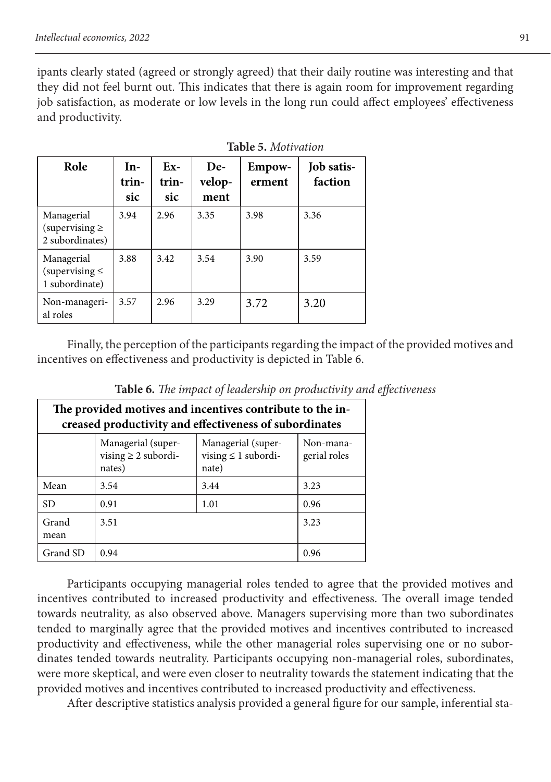ipants clearly stated (agreed or strongly agreed) that their daily routine was interesting and that they did not feel burnt out. This indicates that there is again room for improvement regarding job satisfaction, as moderate or low levels in the long run could affect employees' effectiveness and productivity.

| Role                                                 | In-<br>trin-<br>sic | $Ex-$<br>trin-<br>sic. | De-<br>velop-<br>ment | Empow-<br>erment | <b>Job</b> satis-<br>faction |
|------------------------------------------------------|---------------------|------------------------|-----------------------|------------------|------------------------------|
| Managerial<br>(supervising $\geq$<br>2 subordinates) | 3.94                | 2.96                   | 3.35                  | 3.98             | 3.36                         |
| Managerial<br>(supervising $\leq$<br>1 subordinate)  | 3.88                | 3.42                   | 3.54                  | 3.90             | 3.59                         |
| Non-manageri-<br>al roles                            | 3.57                | 2.96                   | 3.29                  | 3.72             | 3.20                         |

**Table 5.** *Motivation*

Finally, the perception of the participants regarding the impact of the provided motives and incentives on effectiveness and productivity is depicted in Table 6.

| The provided motives and incentives contribute to the in-<br>creased productivity and effectiveness of subordinates |                                                          |                                                         |                           |  |
|---------------------------------------------------------------------------------------------------------------------|----------------------------------------------------------|---------------------------------------------------------|---------------------------|--|
|                                                                                                                     | Managerial (super-<br>vising $\geq 2$ subordi-<br>nates) | Managerial (super-<br>vising $\leq 1$ subordi-<br>nate) | Non-mana-<br>gerial roles |  |
| Mean                                                                                                                | 3.54                                                     | 3.44                                                    | 3.23                      |  |
| <b>SD</b>                                                                                                           | 0.91                                                     | 1.01                                                    | 0.96                      |  |
| Grand<br>mean                                                                                                       | 3.51                                                     |                                                         | 3.23                      |  |
| Grand SD                                                                                                            | 0.94                                                     |                                                         | 0.96                      |  |

**Table 6.** *The impact of leadership on productivity and effectiveness*

Participants occupying managerial roles tended to agree that the provided motives and incentives contributed to increased productivity and effectiveness. The overall image tended towards neutrality, as also observed above. Managers supervising more than two subordinates tended to marginally agree that the provided motives and incentives contributed to increased productivity and effectiveness, while the other managerial roles supervising one or no subordinates tended towards neutrality. Participants occupying non-managerial roles, subordinates, were more skeptical, and were even closer to neutrality towards the statement indicating that the provided motives and incentives contributed to increased productivity and effectiveness.

After descriptive statistics analysis provided a general figure for our sample, inferential sta-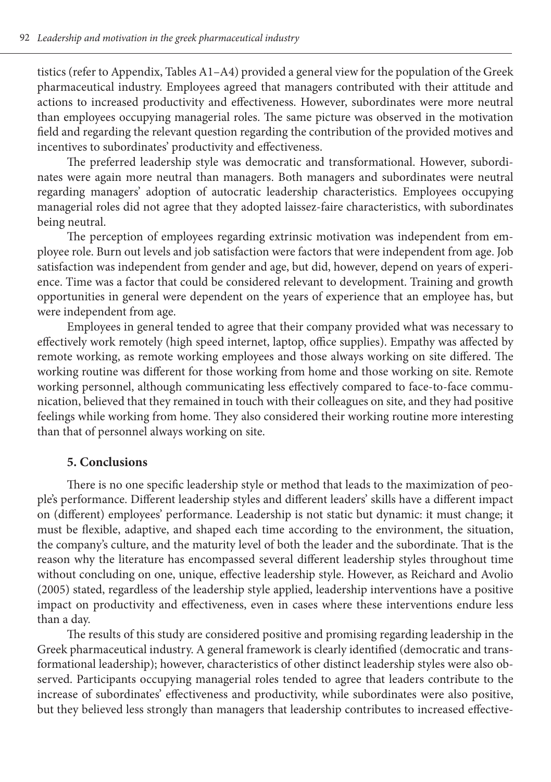tistics (refer to Appendix, Tables A1–A4) provided a general view for the population of the Greek pharmaceutical industry. Employees agreed that managers contributed with their attitude and actions to increased productivity and effectiveness. However, subordinates were more neutral than employees occupying managerial roles. The same picture was observed in the motivation field and regarding the relevant question regarding the contribution of the provided motives and incentives to subordinates' productivity and effectiveness.

The preferred leadership style was democratic and transformational. However, subordinates were again more neutral than managers. Both managers and subordinates were neutral regarding managers' adoption of autocratic leadership characteristics. Employees occupying managerial roles did not agree that they adopted laissez-faire characteristics, with subordinates being neutral.

The perception of employees regarding extrinsic motivation was independent from employee role. Burn out levels and job satisfaction were factors that were independent from age. Job satisfaction was independent from gender and age, but did, however, depend on years of experience. Time was a factor that could be considered relevant to development. Training and growth opportunities in general were dependent on the years of experience that an employee has, but were independent from age.

Employees in general tended to agree that their company provided what was necessary to effectively work remotely (high speed internet, laptop, office supplies). Empathy was affected by remote working, as remote working employees and those always working on site differed. The working routine was different for those working from home and those working on site. Remote working personnel, although communicating less effectively compared to face-to-face communication, believed that they remained in touch with their colleagues on site, and they had positive feelings while working from home. They also considered their working routine more interesting than that of personnel always working on site.

### **5. Conclusions**

There is no one specific leadership style or method that leads to the maximization of people's performance. Different leadership styles and different leaders' skills have a different impact on (different) employees' performance. Leadership is not static but dynamic: it must change; it must be flexible, adaptive, and shaped each time according to the environment, the situation, the company's culture, and the maturity level of both the leader and the subordinate. That is the reason why the literature has encompassed several different leadership styles throughout time without concluding on one, unique, effective leadership style. However, as Reichard and Avolio (2005) stated, regardless of the leadership style applied, leadership interventions have a positive impact on productivity and effectiveness, even in cases where these interventions endure less than a day.

The results of this study are considered positive and promising regarding leadership in the Greek pharmaceutical industry. A general framework is clearly identified (democratic and transformational leadership); however, characteristics of other distinct leadership styles were also observed. Participants occupying managerial roles tended to agree that leaders contribute to the increase of subordinates' effectiveness and productivity, while subordinates were also positive, but they believed less strongly than managers that leadership contributes to increased effective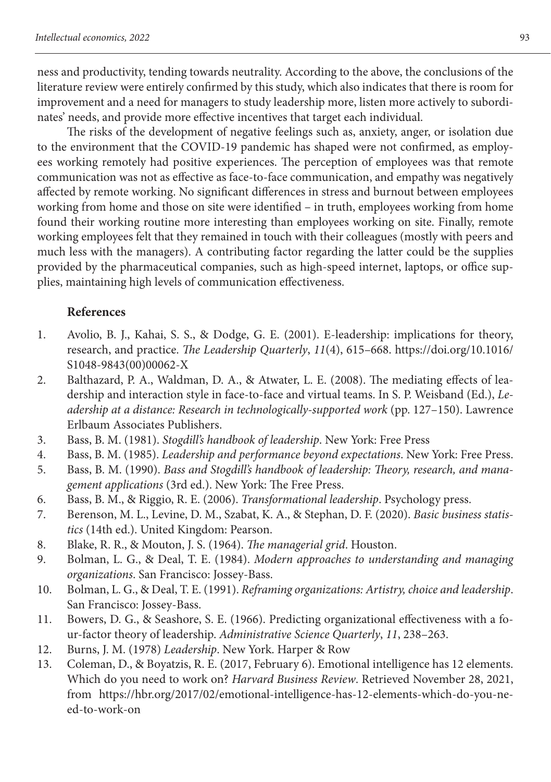ness and productivity, tending towards neutrality. According to the above, the conclusions of the literature review were entirely confirmed by this study, which also indicates that there is room for improvement and a need for managers to study leadership more, listen more actively to subordinates' needs, and provide more effective incentives that target each individual.

The risks of the development of negative feelings such as, anxiety, anger, or isolation due to the environment that the COVID-19 pandemic has shaped were not confirmed, as employees working remotely had positive experiences. The perception of employees was that remote communication was not as effective as face-to-face communication, and empathy was negatively affected by remote working. No significant differences in stress and burnout between employees working from home and those on site were identified – in truth, employees working from home found their working routine more interesting than employees working on site. Finally, remote working employees felt that they remained in touch with their colleagues (mostly with peers and much less with the managers). A contributing factor regarding the latter could be the supplies provided by the pharmaceutical companies, such as high-speed internet, laptops, or office supplies, maintaining high levels of communication effectiveness.

### **References**

- 1. Avolio, B. J., Kahai, S. S., & Dodge, G. E. (2001). E-leadership: implications for theory, research, and practice. *The Leadership Quarterly*, *11*(4), 615–668. https://doi.org/10.1016/ S1048-9843(00)00062-X
- 2. Balthazard, P. A., Waldman, D. A., & Atwater, L. E. (2008). The mediating effects of leadership and interaction style in face-to-face and virtual teams. In S. P. Weisband (Ed.), *Leadership at a distance: Research in technologically-supported work* (pp. 127–150). Lawrence Erlbaum Associates Publishers.
- 3. Bass, B. M. (1981). *Stogdill's handbook of leadership*. New York: Free Press
- 4. Bass, B. M. (1985). *Leadership and performance beyond expectations*. New York: Free Press.
- 5. Bass, B. M. (1990). *Bass and Stogdill's handbook of leadership: Theory, research, and management applications* (3rd ed.). New York: The Free Press.
- 6. Bass, B. M., & Riggio, R. E. (2006). *Transformational leadership*. Psychology press.
- 7. Berenson, M. L., Levine, D. M., Szabat, K. A., & Stephan, D. F. (2020). *Basic business statistics* (14th ed.). United Kingdom: Pearson.
- 8. Blake, R. R., & Mouton, J. S. (1964). *The managerial grid*. Houston.
- 9. Bolman, L. G., & Deal, T. E. (1984). *Modern approaches to understanding and managing organizations*. San Francisco: Jossey-Bass.
- 10. Bolman, L. G., & Deal, T. E. (1991). *Reframing organizations: Artistry, choice and leadership*. San Francisco: Jossey-Bass.
- 11. Bowers, D. G., & Seashore, S. E. (1966). Predicting organizational effectiveness with a four-factor theory of leadership. *Administrative Science Quarterly*, *11*, 238–263.
- 12. Burns, J. M. (1978) *Leadership*. New York. Harper & Row
- 13. Coleman, D., & Boyatzis, R. E. (2017, February 6). Emotional intelligence has 12 elements. Which do you need to work on? *Harvard Business Review*. Retrieved November 28, 2021, from https://hbr.org/2017/02/emotional-intelligence-has-12-elements-which-do-you-need-to-work-on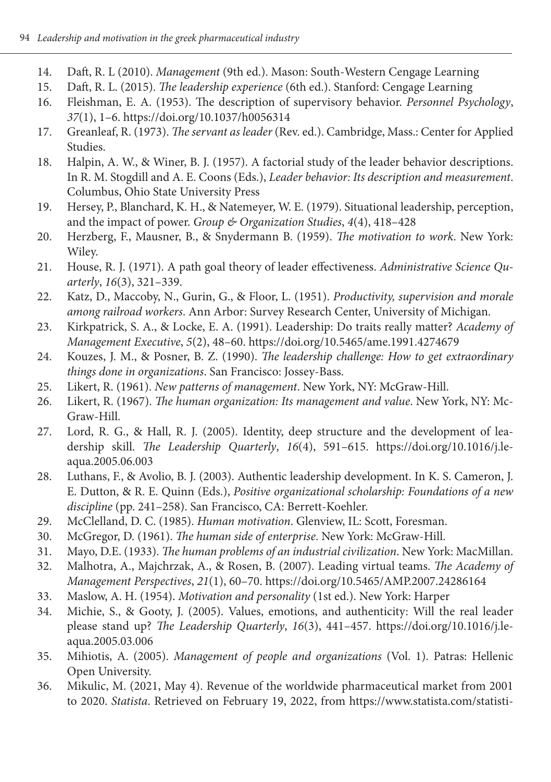- 14. Daft, R. L (2010). *Management* (9th ed.). Mason: South-Western Cengage Learning
- 15. Daft, R. L. (2015). *The leadership experience* (6th ed.). Stanford: Cengage Learning
- 16. Fleishman, E. A. (1953). The description of supervisory behavior. *Personnel Psychology*, *37*(1), 1–6. https://doi.org/10.1037/h0056314
- 17. Greanleaf, R. (1973). *The servant as leader* (Rev. ed.). Cambridge, Mass.: Center for Applied Studies.
- 18. Halpin, A. W., & Winer, B. J. (1957). A factorial study of the leader behavior descriptions. In R. M. Stogdill and A. E. Coons (Eds.), *Leader behavior: Its description and measurement*. Columbus, Ohio State University Press
- 19. Hersey, P., Blanchard, K. H., & Natemeyer, W. E. (1979). Situational leadership, perception, and the impact of power. *Group & Organization Studies*, *4*(4), 418–428
- 20. Herzberg, F., Mausner, B., & Snydermann B. (1959). *The motivation to work*. New York: Wiley.
- 21. House, R. J. (1971). A path goal theory of leader effectiveness. *Administrative Science Quarterly*, *16*(3), 321–339.
- 22. Katz, D., Maccoby, N., Gurin, G., & Floor, L. (1951). *Productivity, supervision and morale among railroad workers*. Ann Arbor: Survey Research Center, University of Michigan.
- 23. Kirkpatrick, S. A., & Locke, E. A. (1991). Leadership: Do traits really matter? *Academy of Management Executive*, *5*(2), 48–60. https://doi.org/10.5465/ame.1991.4274679
- 24. Kouzes, J. M., & Posner, B. Z. (1990). *The leadership challenge: How to get extraordinary things done in organizations*. San Francisco: Jossey-Bass.
- 25. Likert, R. (1961). *New patterns of management*. New York, NY: McGraw-Hill.
- 26. Likert, R. (1967). *The human organization: Its management and value*. New York, NY: Mc-Graw-Hill.
- 27. Lord, R. G., & Hall, R. J. (2005). Identity, deep structure and the development of leadership skill. *The Leadership Quarterly*, *16*(4), 591–615. https://doi.org/10.1016/j.leaqua.2005.06.003
- 28. Luthans, F., & Avolio, B. J. (2003). Authentic leadership development. In K. S. Cameron, J. E. Dutton, & R. E. Quinn (Eds.), *Positive organizational scholarship: Foundations of a new discipline* (pp. 241–258). San Francisco, CA: Berrett-Koehler.
- 29. McClelland, D. C. (1985). *Human motivation*. Glenview, IL: Scott, Foresman.
- 30. McGregor, D. (1961). *The human side of enterprise*. New York: McGraw-Hill.
- 31. Mayo, D.E. (1933). *The human problems of an industrial civilization*. New York: MacMillan.
- 32. Malhotra, A., Majchrzak, A., & Rosen, B. (2007). Leading virtual teams. *The Academy of Management Perspectives*, *21*(1), 60–70. https://doi.org/10.5465/AMP.2007.24286164
- 33. Maslow, A. H. (1954). *Motivation and personality* (1st ed.). New York: Harper
- 34. Michie, S., & Gooty, J. (2005). Values, emotions, and authenticity: Will the real leader please stand up? *The Leadership Quarterly*, *16*(3), 441–457. https://doi.org/10.1016/j.leaqua.2005.03.006
- 35. Mihiotis, A. (2005). *Management of people and organizations* (Vol. 1). Patras: Hellenic Open University.
- 36. Mikulic, M. (2021, May 4). Revenue of the worldwide pharmaceutical market from 2001 to 2020. *Statista*. Retrieved on February 19, 2022, from https://www.statista.com/statisti-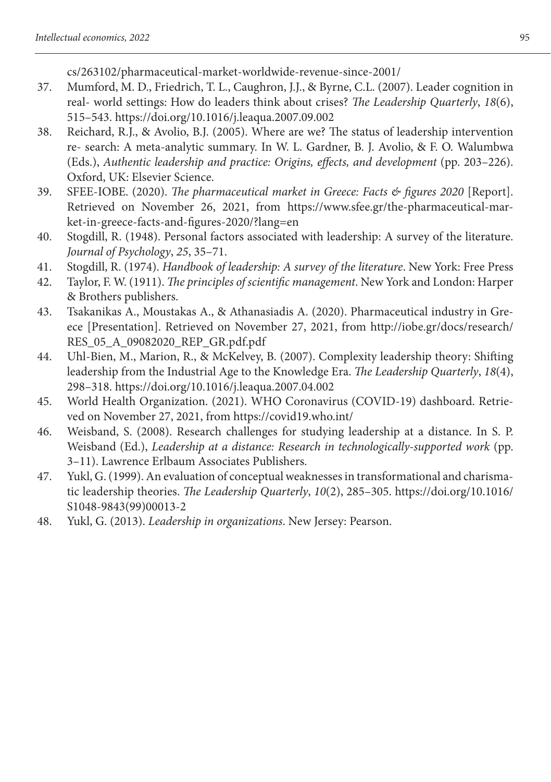cs/263102/pharmaceutical-market-worldwide-revenue-since-2001/

- 37. Mumford, M. D., Friedrich, T. L., Caughron, J.J., & Byrne, C.L. (2007). Leader cognition in real- world settings: How do leaders think about crises? *The Leadership Quarterly*, *18*(6), 515–543. https://doi.org/10.1016/j.leaqua.2007.09.002
- 38. Reichard, R.J., & Avolio, B.J. (2005). Where are we? The status of leadership intervention re- search: A meta-analytic summary. In W. L. Gardner, B. J. Avolio, & F. O. Walumbwa (Eds.), *Authentic leadership and practice: Origins, effects, and development* (pp. 203–226). Oxford, UK: Elsevier Science.
- 39. SFEE-IOBE. (2020). *The pharmaceutical market in Greece: Facts & figures 2020* [Report]. Retrieved on November 26, 2021, from https://www.sfee.gr/the-pharmaceutical-market-in-greece-facts-and-figures-2020/?lang=en
- 40. Stogdill, R. (1948). Personal factors associated with leadership: A survey of the literature. *Journal of Psychology*, *25*, 35–71.
- 41. Stogdill, R. (1974). *Handbook of leadership: A survey of the literature*. New York: Free Press
- 42. Taylor, F. W. (1911). *The principles of scientific management*. New York and London: Harper & Brothers publishers.
- 43. Tsakanikas A., Moustakas A., & Athanasiadis A. (2020). Pharmaceutical industry in Greece [Presentation]. Retrieved on November 27, 2021, from http://iobe.gr/docs/research/ RES\_05\_A\_09082020\_REP\_GR.pdf.pdf
- 44. Uhl-Bien, M., Marion, R., & McKelvey, B. (2007). Complexity leadership theory: Shifting leadership from the Industrial Age to the Knowledge Era. *The Leadership Quarterly*, *18*(4), 298–318. https://doi.org/10.1016/j.leaqua.2007.04.002
- 45. World Health Organization. (2021). WHO Coronavirus (COVID-19) dashboard. Retrieved on November 27, 2021, from https://covid19.who.int/
- 46. Weisband, S. (2008). Research challenges for studying leadership at a distance. In S. P. Weisband (Ed.), *Leadership at a distance: Research in technologically-supported work* (pp. 3–11). Lawrence Erlbaum Associates Publishers.
- 47. Yukl, G. (1999). An evaluation of conceptual weaknesses in transformational and charismatic leadership theories. *The Leadership Quarterly*, *10*(2), 285–305. https://doi.org/10.1016/ S1048-9843(99)00013-2
- 48. Yukl, G. (2013). *Leadership in organizations*. New Jersey: Pearson.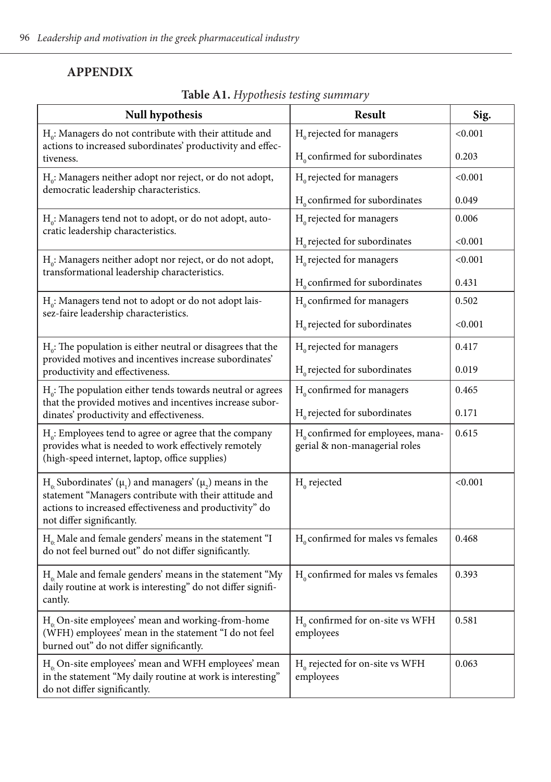# **APPENDIX**

**Table A1.** *Hypothesis testing summary* 

| Null hypothesis                                                                                                                                                                                                                        | Result                                                                | Sig.           |
|----------------------------------------------------------------------------------------------------------------------------------------------------------------------------------------------------------------------------------------|-----------------------------------------------------------------------|----------------|
| $\mathbf{H}_{\scriptscriptstyle{0}}$ : Managers do not contribute with their attitude and<br>actions to increased subordinates' productivity and effec-                                                                                | $H_0$ rejected for managers                                           | < 0.001        |
| tiveness.                                                                                                                                                                                                                              | $H_0$ confirmed for subordinates                                      | 0.203          |
| $H_0$ : Managers neither adopt nor reject, or do not adopt,<br>democratic leadership characteristics.                                                                                                                                  | $H_0$ rejected for managers                                           | < 0.001        |
|                                                                                                                                                                                                                                        | $\mathbf{H}_{_{\boldsymbol{0}}}$ confirmed for subordinates           | 0.049          |
| $H_0$ : Managers tend not to adopt, or do not adopt, auto-<br>cratic leadership characteristics.                                                                                                                                       | $H0$ rejected for managers                                            | 0.006          |
|                                                                                                                                                                                                                                        | $H_0$ rejected for subordinates                                       | < 0.001        |
| $H_0$ : Managers neither adopt nor reject, or do not adopt,                                                                                                                                                                            | $H0$ rejected for managers                                            | $<$ 0.001 $\,$ |
| transformational leadership characteristics.                                                                                                                                                                                           | $H0$ confirmed for subordinates                                       | 0.431          |
| H <sub>0</sub> : Managers tend not to adopt or do not adopt lais-                                                                                                                                                                      | $H_0$ confirmed for managers                                          | 0.502          |
| sez-faire leadership characteristics.                                                                                                                                                                                                  | $H_0$ rejected for subordinates                                       | < 0.001        |
| $H_0$ : The population is either neutral or disagrees that the                                                                                                                                                                         | $H_0$ rejected for managers                                           | 0.417          |
| provided motives and incentives increase subordinates'<br>productivity and effectiveness.                                                                                                                                              | $H$ <sub>0</sub> rejected for subordinates                            | 0.019          |
| $H_0$ : The population either tends towards neutral or agrees                                                                                                                                                                          | $H_0$ confirmed for managers                                          | 0.465          |
| that the provided motives and incentives increase subor-<br>dinates' productivity and effectiveness.                                                                                                                                   | $H_0$ rejected for subordinates                                       | 0.171          |
| $H_0$ : Employees tend to agree or agree that the company<br>provides what is needed to work effectively remotely<br>(high-speed internet, laptop, office supplies)                                                                    | $H_0$ confirmed for employees, mana-<br>gerial & non-managerial roles | 0.615          |
| $H_0$ . Subordinates' (μ <sub>1</sub> ) and managers' (μ <sub>2</sub> ) means in the<br>statement "Managers contribute with their attitude and<br>actions to increased effectiveness and productivity" do<br>not differ significantly. | $H_0$ rejected                                                        | < 0.001        |
| $\mathbf{H}_{\scriptscriptstyle{0:}}$ Male and female genders' means in the statement "I<br>do not feel burned out" do not differ significantly.                                                                                       | $H_0$ confirmed for males vs females                                  | 0.468          |
| $H_0$ . Male and female genders' means in the statement "My<br>daily routine at work is interesting" do not differ signifi-<br>cantly.                                                                                                 | $H_0$ confirmed for males vs females                                  | 0.393          |
| $H_0$ . On-site employees' mean and working-from-home<br>(WFH) employees' mean in the statement "I do not feel<br>burned out" do not differ significantly.                                                                             | $H0$ confirmed for on-site vs WFH<br>employees                        | 0.581          |
| $H_0$ . On-site employees' mean and WFH employees' mean<br>in the statement "My daily routine at work is interesting"<br>do not differ significantly.                                                                                  | $H_0$ rejected for on-site vs WFH<br>employees                        | 0.063          |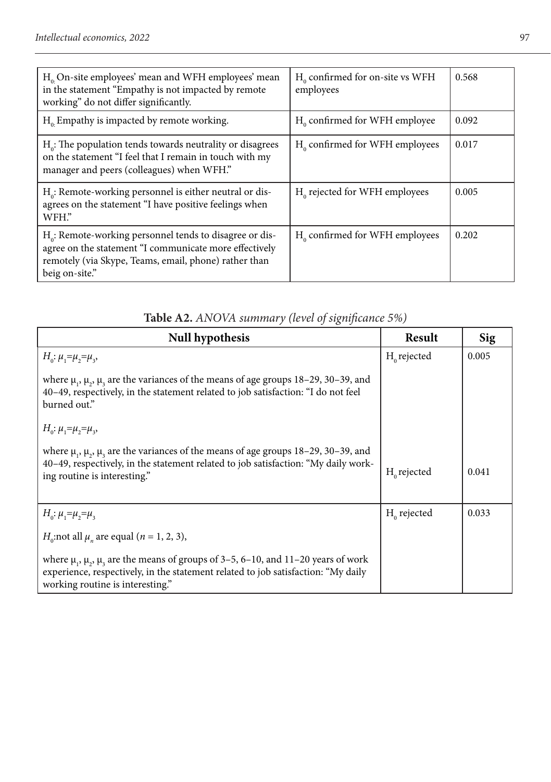| $H_0$ On-site employees' mean and WFH employees' mean<br>in the statement "Empathy is not impacted by remote<br>working" do not differ significantly.                                                    | $H0$ confirmed for on-site vs WFH<br>employees | 0.568 |
|----------------------------------------------------------------------------------------------------------------------------------------------------------------------------------------------------------|------------------------------------------------|-------|
| $H_0$ . Empathy is impacted by remote working.                                                                                                                                                           | $H0$ confirmed for WFH employee                | 0.092 |
| $H_o$ : The population tends towards neutrality or disagrees<br>on the statement "I feel that I remain in touch with my<br>manager and peers (colleagues) when WFH."                                     | $H0$ confirmed for WFH employees               | 0.017 |
| $H_0$ : Remote-working personnel is either neutral or dis-<br>agrees on the statement "I have positive feelings when<br>WFH."                                                                            | $H0$ rejected for WFH employees                | 0.005 |
| H <sub>o</sub> : Remote-working personnel tends to disagree or dis-<br>agree on the statement "I communicate more effectively<br>remotely (via Skype, Teams, email, phone) rather than<br>beig on-site." | $H0$ confirmed for WFH employees               | 0.202 |

| Table A2. ANOVA summary (level of significance 5%) |  |  |  |  |
|----------------------------------------------------|--|--|--|--|
|----------------------------------------------------|--|--|--|--|

| Null hypothesis                                                                                                                                                                                                          | Result        | Sig   |
|--------------------------------------------------------------------------------------------------------------------------------------------------------------------------------------------------------------------------|---------------|-------|
| $H_{0}: \mu_{1}=\mu_{2}=\mu_{3},$                                                                                                                                                                                        | $Ho$ rejected | 0.005 |
| where $\mu_1$ , $\mu_2$ , $\mu_3$ are the variances of the means of age groups 18–29, 30–39, and<br>40–49, respectively, in the statement related to job satisfaction: "I do not feel<br>burned out."                    |               |       |
| $H_{0}: \mu_{1}=\mu_{2}=\mu_{3},$                                                                                                                                                                                        |               |       |
| where $\mu_1$ , $\mu_2$ , $\mu_3$ are the variances of the means of age groups 18–29, 30–39, and<br>40–49, respectively, in the statement related to job satisfaction: "My daily work-<br>ing routine is interesting."   | $H0$ rejected | 0.041 |
| $H_{0}$ : $\mu_{1} = \mu_{2} = \mu_{3}$                                                                                                                                                                                  | $H0$ rejected | 0.033 |
| $H_0$ :not all $\mu_n$ are equal (n = 1, 2, 3),                                                                                                                                                                          |               |       |
| where $\mu_1$ , $\mu_2$ , $\mu_3$ are the means of groups of 3–5, 6–10, and 11–20 years of work<br>experience, respectively, in the statement related to job satisfaction: "My daily<br>working routine is interesting." |               |       |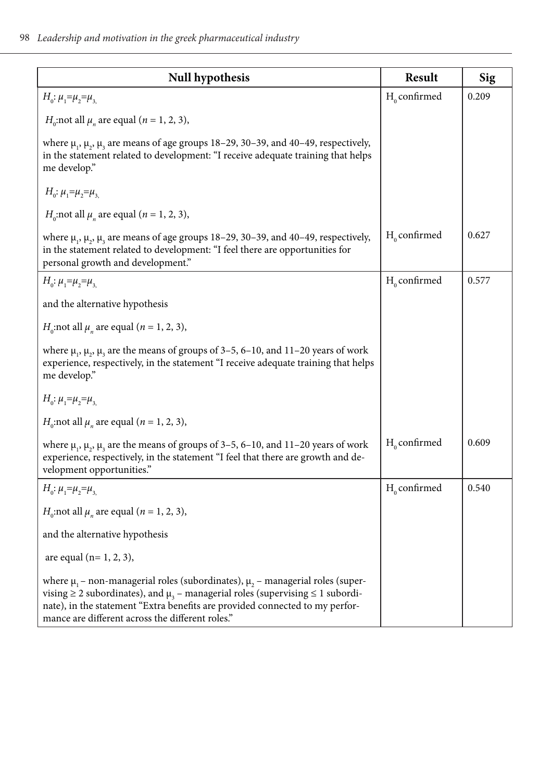| Null hypothesis                                                                                                                                                                                                                                                                                                                        | Result          | Sig   |
|----------------------------------------------------------------------------------------------------------------------------------------------------------------------------------------------------------------------------------------------------------------------------------------------------------------------------------------|-----------------|-------|
| $H_0: \mu_1 = \mu_2 = \mu_3$                                                                                                                                                                                                                                                                                                           | $H_0$ confirmed | 0.209 |
| $H_0$ :not all $\mu_n$ are equal (n = 1, 2, 3),                                                                                                                                                                                                                                                                                        |                 |       |
| where $\mu_1$ , $\mu_2$ , $\mu_3$ are means of age groups 18–29, 30–39, and 40–49, respectively,<br>in the statement related to development: "I receive adequate training that helps<br>me develop."                                                                                                                                   |                 |       |
| $H_0: \mu_1 = \mu_2 = \mu_3$                                                                                                                                                                                                                                                                                                           |                 |       |
| $H_0$ :not all $\mu_n$ are equal (n = 1, 2, 3),                                                                                                                                                                                                                                                                                        |                 |       |
| where $\mu_1$ , $\mu_2$ , $\mu_3$ are means of age groups 18–29, 30–39, and 40–49, respectively,<br>in the statement related to development: "I feel there are opportunities for<br>personal growth and development."                                                                                                                  | $H_0$ confirmed | 0.627 |
| $H_0: \mu_1 = \mu_2 = \mu_3$                                                                                                                                                                                                                                                                                                           | $H_0$ confirmed | 0.577 |
| and the alternative hypothesis                                                                                                                                                                                                                                                                                                         |                 |       |
| $H_0$ :not all $\mu_n$ are equal (n = 1, 2, 3),                                                                                                                                                                                                                                                                                        |                 |       |
| where $\mu_1$ , $\mu_2$ , $\mu_3$ are the means of groups of 3–5, 6–10, and 11–20 years of work<br>experience, respectively, in the statement "I receive adequate training that helps<br>me develop."                                                                                                                                  |                 |       |
| $H_0: \mu_1 = \mu_2 = \mu_3$                                                                                                                                                                                                                                                                                                           |                 |       |
| $H_0$ :not all $\mu_n$ are equal (n = 1, 2, 3),                                                                                                                                                                                                                                                                                        |                 |       |
| where $\mu_1$ , $\mu_2$ , $\mu_3$ are the means of groups of 3–5, 6–10, and 11–20 years of work<br>experience, respectively, in the statement "I feel that there are growth and de-<br>velopment opportunities."                                                                                                                       | $H_0$ confirmed | 0.609 |
| $H_0$ : $\mu_1 = \mu_2 = \mu_3$                                                                                                                                                                                                                                                                                                        | $H_0$ confirmed | 0.540 |
| $H_0$ :not all $\mu_n$ are equal (n = 1, 2, 3),                                                                                                                                                                                                                                                                                        |                 |       |
| and the alternative hypothesis                                                                                                                                                                                                                                                                                                         |                 |       |
| are equal $(n=1, 2, 3)$ ,                                                                                                                                                                                                                                                                                                              |                 |       |
| where $\mu_1$ – non-managerial roles (subordinates), $\mu_2$ – managerial roles (super-<br>vising $\geq 2$ subordinates), and $\mu$ <sub>3</sub> – managerial roles (supervising $\leq 1$ subordi-<br>nate), in the statement "Extra benefits are provided connected to my perfor-<br>mance are different across the different roles." |                 |       |